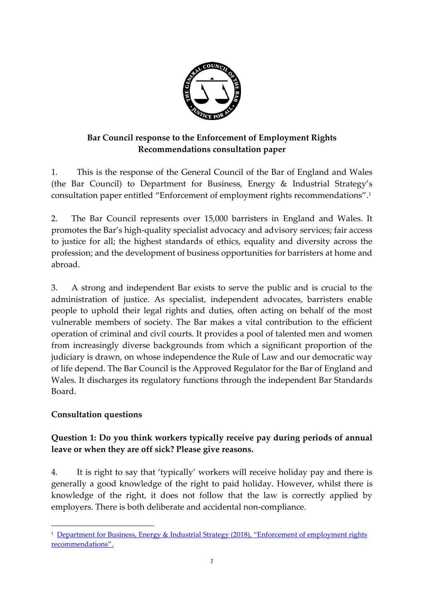

# **Bar Council response to the Enforcement of Employment Rights Recommendations consultation paper**

1. This is the response of the General Council of the Bar of England and Wales (the Bar Council) to Department for Business, Energy & Industrial Strategy's consultation paper entitled "Enforcement of employment rights recommendations". 1

2. The Bar Council represents over 15,000 barristers in England and Wales. It promotes the Bar's high-quality specialist advocacy and advisory services; fair access to justice for all; the highest standards of ethics, equality and diversity across the profession; and the development of business opportunities for barristers at home and abroad.

3. A strong and independent Bar exists to serve the public and is crucial to the administration of justice. As specialist, independent advocates, barristers enable people to uphold their legal rights and duties, often acting on behalf of the most vulnerable members of society. The Bar makes a vital contribution to the efficient operation of criminal and civil courts. It provides a pool of talented men and women from increasingly diverse backgrounds from which a significant proportion of the judiciary is drawn, on whose independence the Rule of Law and our democratic way of life depend. The Bar Council is the Approved Regulator for the Bar of England and Wales. It discharges its regulatory functions through the independent Bar Standards Board.

## **Consultation questions**

**.** 

# **Question 1: Do you think workers typically receive pay during periods of annual leave or when they are off sick? Please give reasons.**

4. It is right to say that 'typically' workers will receive holiday pay and there is generally a good knowledge of the right to paid holiday. However, whilst there is knowledge of the right, it does not follow that the law is correctly applied by employers. There is both deliberate and accidental non-compliance.

<sup>&</sup>lt;sup>1</sup> Department for Business, Energy & Industrial Strategy (2018), "Enforcement of employment rights [recommendations"](https://www.gov.uk/government/consultations/enforcement-of-employment-rights-recommendations).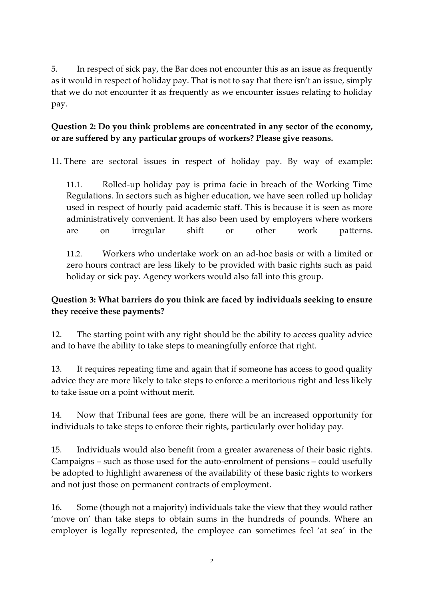5. In respect of sick pay, the Bar does not encounter this as an issue as frequently as it would in respect of holiday pay. That is not to say that there isn't an issue, simply that we do not encounter it as frequently as we encounter issues relating to holiday pay.

## **Question 2: Do you think problems are concentrated in any sector of the economy, or are suffered by any particular groups of workers? Please give reasons.**

11. There are sectoral issues in respect of holiday pay. By way of example:

11.1. Rolled-up holiday pay is prima facie in breach of the Working Time Regulations. In sectors such as higher education, we have seen rolled up holiday used in respect of hourly paid academic staff. This is because it is seen as more administratively convenient. It has also been used by employers where workers are on irregular shift or other work patterns.

11.2. Workers who undertake work on an ad-hoc basis or with a limited or zero hours contract are less likely to be provided with basic rights such as paid holiday or sick pay. Agency workers would also fall into this group.

# **Question 3: What barriers do you think are faced by individuals seeking to ensure they receive these payments?**

12. The starting point with any right should be the ability to access quality advice and to have the ability to take steps to meaningfully enforce that right.

13. It requires repeating time and again that if someone has access to good quality advice they are more likely to take steps to enforce a meritorious right and less likely to take issue on a point without merit.

14. Now that Tribunal fees are gone, there will be an increased opportunity for individuals to take steps to enforce their rights, particularly over holiday pay.

15. Individuals would also benefit from a greater awareness of their basic rights. Campaigns – such as those used for the auto-enrolment of pensions – could usefully be adopted to highlight awareness of the availability of these basic rights to workers and not just those on permanent contracts of employment.

16. Some (though not a majority) individuals take the view that they would rather 'move on' than take steps to obtain sums in the hundreds of pounds. Where an employer is legally represented, the employee can sometimes feel 'at sea' in the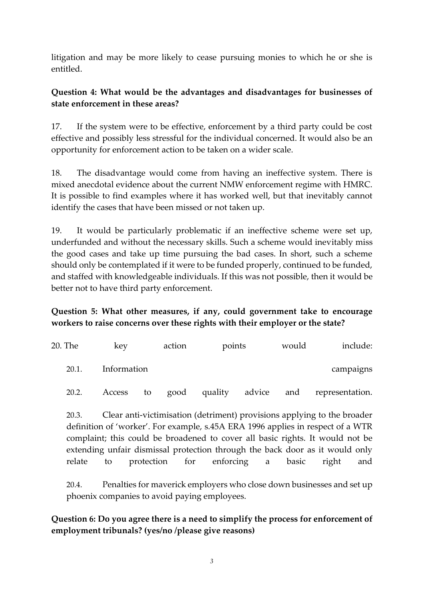litigation and may be more likely to cease pursuing monies to which he or she is entitled.

#### **Question 4: What would be the advantages and disadvantages for businesses of state enforcement in these areas?**

17. If the system were to be effective, enforcement by a third party could be cost effective and possibly less stressful for the individual concerned. It would also be an opportunity for enforcement action to be taken on a wider scale.

18. The disadvantage would come from having an ineffective system. There is mixed anecdotal evidence about the current NMW enforcement regime with HMRC. It is possible to find examples where it has worked well, but that inevitably cannot identify the cases that have been missed or not taken up.

19. It would be particularly problematic if an ineffective scheme were set up, underfunded and without the necessary skills. Such a scheme would inevitably miss the good cases and take up time pursuing the bad cases. In short, such a scheme should only be contemplated if it were to be funded properly, continued to be funded, and staffed with knowledgeable individuals. If this was not possible, then it would be better not to have third party enforcement.

## **Question 5: What other measures, if any, could government take to encourage workers to raise concerns over these rights with their employer or the state?**

| include:        | would |        | points  | action |    | key         | 20. The |
|-----------------|-------|--------|---------|--------|----|-------------|---------|
| campaigns       |       |        |         |        |    | Information | 20.1.   |
| representation. | and   | advice | quality | good   | to | Access      | 20.2.   |

20.3. Clear anti-victimisation (detriment) provisions applying to the broader definition of 'worker'. For example, s.45A ERA 1996 applies in respect of a WTR complaint; this could be broadened to cover all basic rights. It would not be extending unfair dismissal protection through the back door as it would only relate to protection for enforcing a basic right and

20.4. Penalties for maverick employers who close down businesses and set up phoenix companies to avoid paying employees.

**Question 6: Do you agree there is a need to simplify the process for enforcement of employment tribunals? (yes/no /please give reasons)**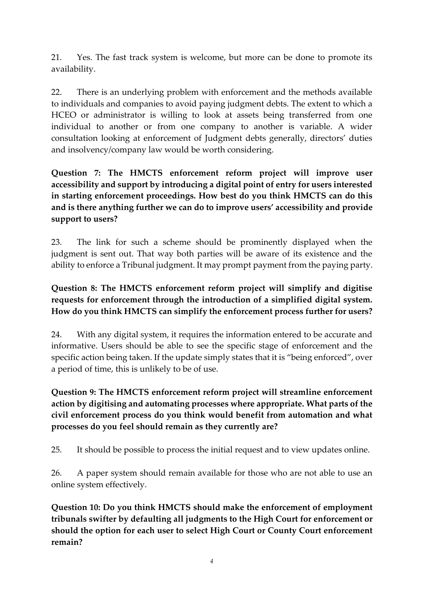21. Yes. The fast track system is welcome, but more can be done to promote its availability.

22. There is an underlying problem with enforcement and the methods available to individuals and companies to avoid paying judgment debts. The extent to which a HCEO or administrator is willing to look at assets being transferred from one individual to another or from one company to another is variable. A wider consultation looking at enforcement of Judgment debts generally, directors' duties and insolvency/company law would be worth considering.

**Question 7: The HMCTS enforcement reform project will improve user accessibility and support by introducing a digital point of entry for users interested in starting enforcement proceedings. How best do you think HMCTS can do this and is there anything further we can do to improve users' accessibility and provide support to users?** 

23. The link for such a scheme should be prominently displayed when the judgment is sent out. That way both parties will be aware of its existence and the ability to enforce a Tribunal judgment. It may prompt payment from the paying party.

## **Question 8: The HMCTS enforcement reform project will simplify and digitise requests for enforcement through the introduction of a simplified digital system. How do you think HMCTS can simplify the enforcement process further for users?**

24. With any digital system, it requires the information entered to be accurate and informative. Users should be able to see the specific stage of enforcement and the specific action being taken. If the update simply states that it is "being enforced", over a period of time, this is unlikely to be of use.

# **Question 9: The HMCTS enforcement reform project will streamline enforcement action by digitising and automating processes where appropriate. What parts of the civil enforcement process do you think would benefit from automation and what processes do you feel should remain as they currently are?**

25. It should be possible to process the initial request and to view updates online.

26. A paper system should remain available for those who are not able to use an online system effectively.

**Question 10: Do you think HMCTS should make the enforcement of employment tribunals swifter by defaulting all judgments to the High Court for enforcement or should the option for each user to select High Court or County Court enforcement remain?**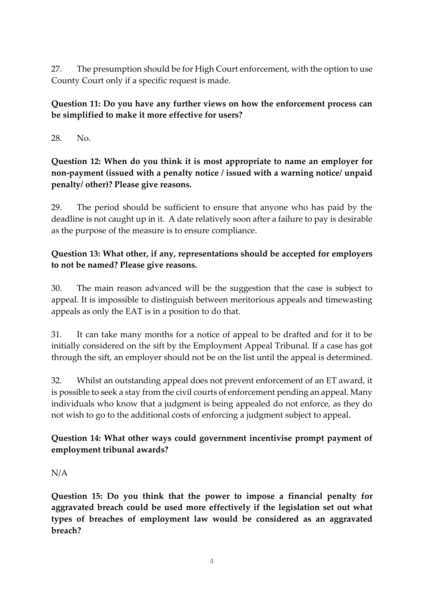27. The presumption should be for High Court enforcement, with the option to use County Court only if a specific request is made.

## **Question 11: Do you have any further views on how the enforcement process can be simplified to make it more effective for users?**

28. No.

**Question 12: When do you think it is most appropriate to name an employer for non-payment (issued with a penalty notice / issued with a warning notice/ unpaid penalty/ other)? Please give reasons.** 

29. The period should be sufficient to ensure that anyone who has paid by the deadline is not caught up in it. A date relatively soon after a failure to pay is desirable as the purpose of the measure is to ensure compliance.

## **Question 13: What other, if any, representations should be accepted for employers to not be named? Please give reasons.**

30. The main reason advanced will be the suggestion that the case is subject to appeal. It is impossible to distinguish between meritorious appeals and timewasting appeals as only the EAT is in a position to do that.

31. It can take many months for a notice of appeal to be drafted and for it to be initially considered on the sift by the Employment Appeal Tribunal. If a case has got through the sift, an employer should not be on the list until the appeal is determined.

32. Whilst an outstanding appeal does not prevent enforcement of an ET award, it is possible to seek a stay from the civil courts of enforcement pending an appeal. Many individuals who know that a judgment is being appealed do not enforce, as they do not wish to go to the additional costs of enforcing a judgment subject to appeal.

## **Question 14: What other ways could government incentivise prompt payment of employment tribunal awards?**

## N/A

**Question 15: Do you think that the power to impose a financial penalty for aggravated breach could be used more effectively if the legislation set out what types of breaches of employment law would be considered as an aggravated breach?**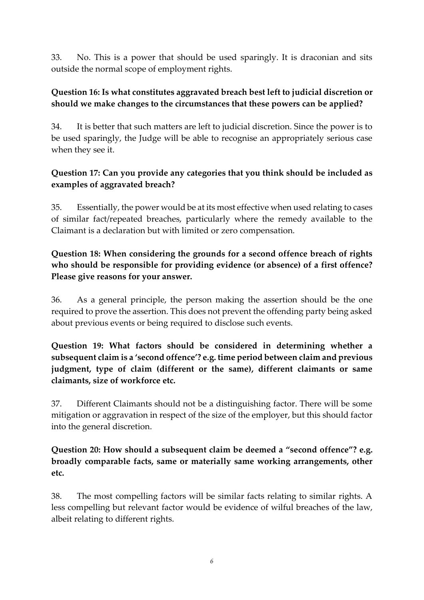33. No. This is a power that should be used sparingly. It is draconian and sits outside the normal scope of employment rights.

#### **Question 16: Is what constitutes aggravated breach best left to judicial discretion or should we make changes to the circumstances that these powers can be applied?**

34. It is better that such matters are left to judicial discretion. Since the power is to be used sparingly, the Judge will be able to recognise an appropriately serious case when they see it.

#### **Question 17: Can you provide any categories that you think should be included as examples of aggravated breach?**

35. Essentially, the power would be at its most effective when used relating to cases of similar fact/repeated breaches, particularly where the remedy available to the Claimant is a declaration but with limited or zero compensation.

## **Question 18: When considering the grounds for a second offence breach of rights who should be responsible for providing evidence (or absence) of a first offence? Please give reasons for your answer.**

36. As a general principle, the person making the assertion should be the one required to prove the assertion. This does not prevent the offending party being asked about previous events or being required to disclose such events.

**Question 19: What factors should be considered in determining whether a subsequent claim is a 'second offence'? e.g. time period between claim and previous judgment, type of claim (different or the same), different claimants or same claimants, size of workforce etc.** 

37. Different Claimants should not be a distinguishing factor. There will be some mitigation or aggravation in respect of the size of the employer, but this should factor into the general discretion.

**Question 20: How should a subsequent claim be deemed a "second offence"? e.g. broadly comparable facts, same or materially same working arrangements, other etc.** 

38. The most compelling factors will be similar facts relating to similar rights. A less compelling but relevant factor would be evidence of wilful breaches of the law, albeit relating to different rights.